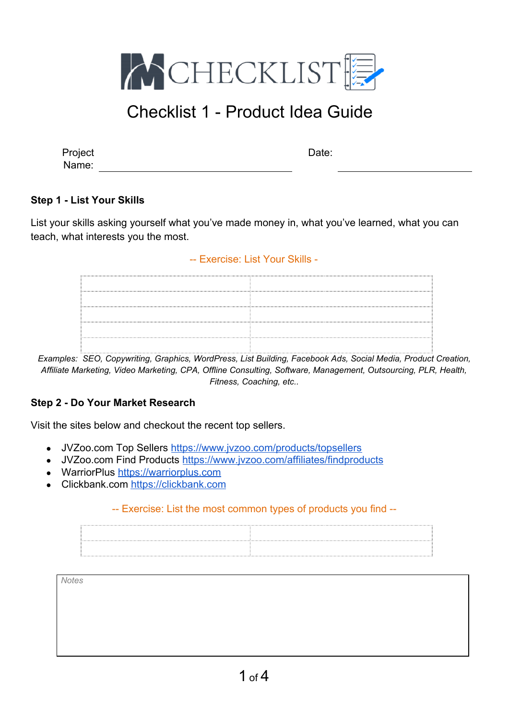

| Project |  |
|---------|--|
| Name:   |  |

Date:

### **Step 1 - List Your Skills**

List your skills asking yourself what you've made money in, what you've learned, what you can teach, what interests you the most.

#### -- Exercise: List Your Skills -

*Examples: SEO, Copywriting, Graphics, WordPress, List Building, Facebook Ads, Social Media, Product Creation, Affiliate Marketing, Video Marketing, CPA, Offline Consulting, Software, Management, Outsourcing, PLR, Health, Fitness, Coaching, etc..*

#### **Step 2 - Do Your Market Research**

Visit the sites below and checkout the recent top sellers.

- JVZoo.com Top Sellers<https://www.jvzoo.com/products/topsellers>
- JVZoo.com Find Products <https://www.jvzoo.com/affiliates/findproducts>
- WarriorPlus [https://warriorplus.com](https://warriorplus.com/)
- Clickbank.com [https://clickbank.com](https://clickbank.com/)

#### -- Exercise: List the most common types of products you find --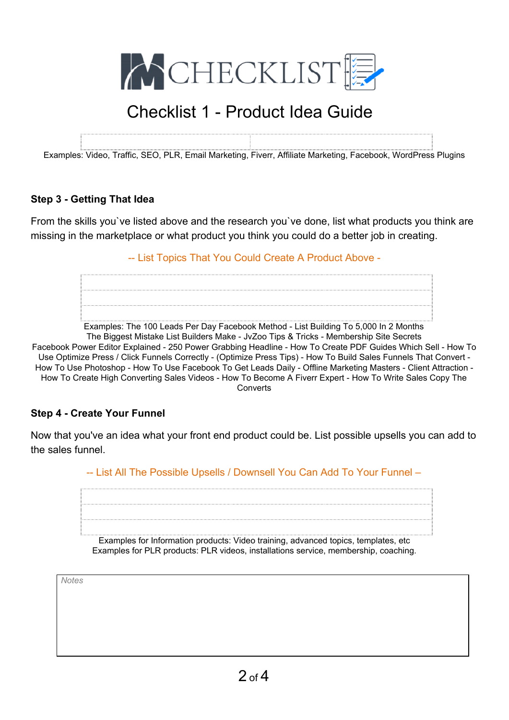

Examples: Video, Traffic, SEO, PLR, Email Marketing, Fiverr, Affiliate Marketing, Facebook, WordPress Plugins

#### **Step 3 - Getting That Idea**

From the skills you`ve listed above and the research you`ve done, list what products you think are missing in the marketplace or what product you think you could do a better job in creating.

-- List Topics That You Could Create A Product Above -



Examples: The 100 Leads Per Day Facebook Method - List Building To 5,000 In 2 Months

The Biggest Mistake List Builders Make - JvZoo Tips & Tricks - Membership Site Secrets Facebook Power Editor Explained - 250 Power Grabbing Headline - How To Create PDF Guides Which Sell - How To Use Optimize Press / Click Funnels Correctly - (Optimize Press Tips) - How To Build Sales Funnels That Convert - How To Use Photoshop - How To Use Facebook To Get Leads Daily - Offline Marketing Masters - Client Attraction - How To Create High Converting Sales Videos - How To Become A Fiverr Expert - How To Write Sales Copy The **Converts** 

#### **Step 4 - Create Your Funnel**

Now that you've an idea what your front end product could be. List possible upsells you can add to the sales funnel.

-- List All The Possible Upsells / Downsell You Can Add To Your Funnel –

Examples for Information products: Video training, advanced topics, templates, etc Examples for PLR products: PLR videos, installations service, membership, coaching.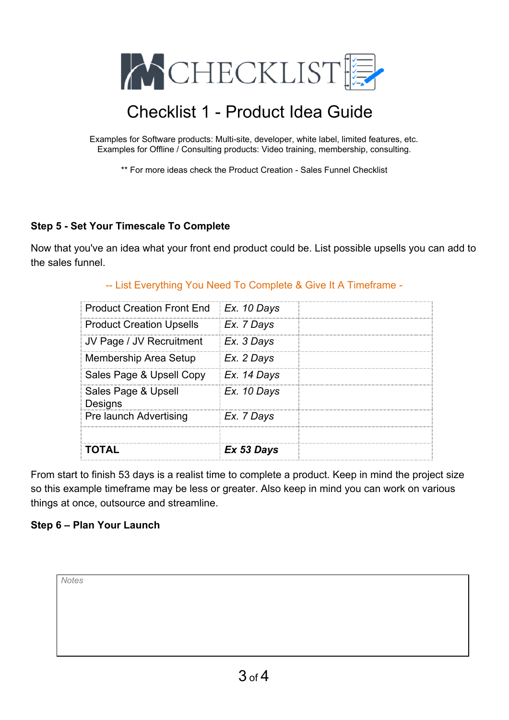

Examples for Software products: Multi-site, developer, white label, limited features, etc. Examples for Offline / Consulting products: Video training, membership, consulting.

\*\* For more ideas check the Product Creation - Sales Funnel Checklist

### **Step 5 - Set Your Timescale To Complete**

Now that you've an idea what your front end product could be. List possible upsells you can add to the sales funnel.

| ומונ                                     | Ex 53 Days   |  |
|------------------------------------------|--------------|--|
| <b>Pre launch Advertising</b>            | Ex. 7 Days   |  |
| Sales Page & Upsell<br>Designs           | Ex. 10 Days  |  |
| Sales Page & Upsell Copy                 | Ex. 14 Days  |  |
| <b>Membership Area Setup</b>             | Ex. 2 Days   |  |
| JV Page / JV Recruitment                 | $Ex. 3$ Days |  |
| <b>Product Creation Upsells</b>          | $Ex. 7$ Days |  |
| Product Creation Front End   Ex. 10 Days |              |  |

### -- List Everything You Need To Complete & Give It A Timeframe -

From start to finish 53 days is a realist time to complete a product. Keep in mind the project size so this example timeframe may be less or greater. Also keep in mind you can work on various things at once, outsource and streamline.

### **Step 6 – Plan Your Launch**